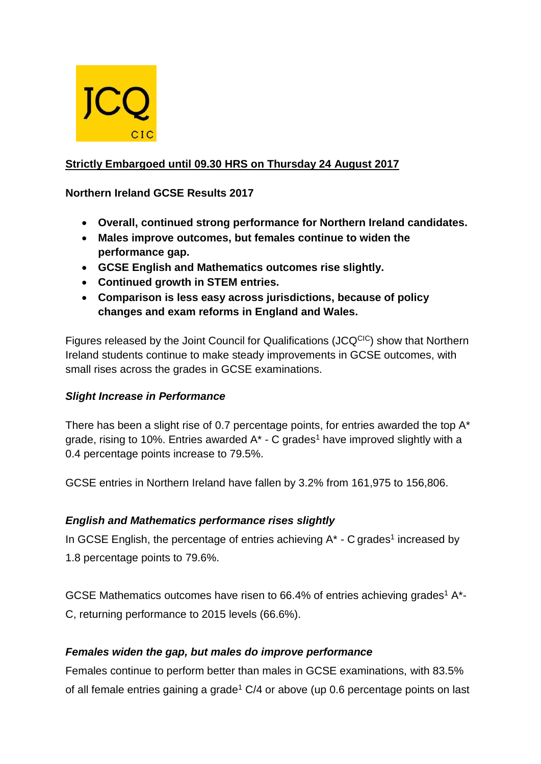

# **Strictly Embargoed until 09.30 HRS on Thursday 24 August 2017**

### **Northern Ireland GCSE Results 2017**

- **Overall, continued strong performance for Northern Ireland candidates.**
- **Males improve outcomes, but females continue to widen the performance gap.**
- **GCSE English and Mathematics outcomes rise slightly.**
- **Continued growth in STEM entries.**
- **Comparison is less easy across jurisdictions, because of policy changes and exam reforms in England and Wales.**

Figures released by the Joint Council for Qualifications (JCQCIC) show that Northern Ireland students continue to make steady improvements in GCSE outcomes, with small rises across the grades in GCSE examinations.

### *Slight Increase in Performance*

There has been a slight rise of 0.7 percentage points, for entries awarded the top A\* grade, rising to 10%. Entries awarded  $A^*$  - C grades<sup>1</sup> have improved slightly with a 0.4 percentage points increase to 79.5%.

GCSE entries in Northern Ireland have fallen by 3.2% from 161,975 to 156,806.

### *English and Mathematics performance rises slightly*

In GCSE English, the percentage of entries achieving  $A^*$  - C grades<sup>1</sup> increased by 1.8 percentage points to 79.6%.

GCSE Mathematics outcomes have risen to 66.4% of entries achieving grades<sup>1</sup> A<sup>\*</sup>-C, returning performance to 2015 levels (66.6%).

### *Females widen the gap, but males do improve performance*

Females continue to perform better than males in GCSE examinations, with 83.5% of all female entries gaining a grade<sup>1</sup>  $C/4$  or above (up 0.6 percentage points on last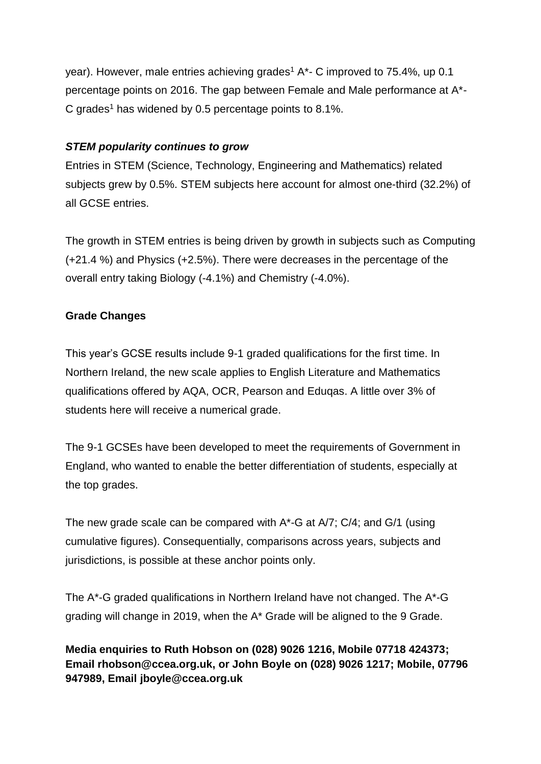year). However, male entries achieving grades<sup>1</sup> A<sup>\*</sup>- C improved to 75.4%, up 0.1 percentage points on 2016. The gap between Female and Male performance at A\*- C grades<sup>1</sup> has widened by 0.5 percentage points to 8.1%.

# *STEM popularity continues to grow*

Entries in STEM (Science, Technology, Engineering and Mathematics) related subjects grew by 0.5%. STEM subjects here account for almost one-third (32.2%) of all GCSE entries.

The growth in STEM entries is being driven by growth in subjects such as Computing (+21.4 %) and Physics (+2.5%). There were decreases in the percentage of the overall entry taking Biology (-4.1%) and Chemistry (-4.0%).

# **Grade Changes**

This year's GCSE results include 9-1 graded qualifications for the first time. In Northern Ireland, the new scale applies to English Literature and Mathematics qualifications offered by AQA, OCR, Pearson and Eduqas. A little over 3% of students here will receive a numerical grade.

The 9-1 GCSEs have been developed to meet the requirements of Government in England, who wanted to enable the better differentiation of students, especially at the top grades.

The new grade scale can be compared with A\*-G at A/7; C/4; and G/1 (using cumulative figures). Consequentially, comparisons across years, subjects and jurisdictions, is possible at these anchor points only.

The A\*-G graded qualifications in Northern Ireland have not changed. The A\*-G grading will change in 2019, when the A\* Grade will be aligned to the 9 Grade.

**Media enquiries to Ruth Hobson on (028) 9026 1216, Mobile 07718 424373; Email rhobson@ccea.org.uk, or John Boyle on (028) 9026 1217; Mobile, 07796 947989, Email jboyle@ccea.org.uk**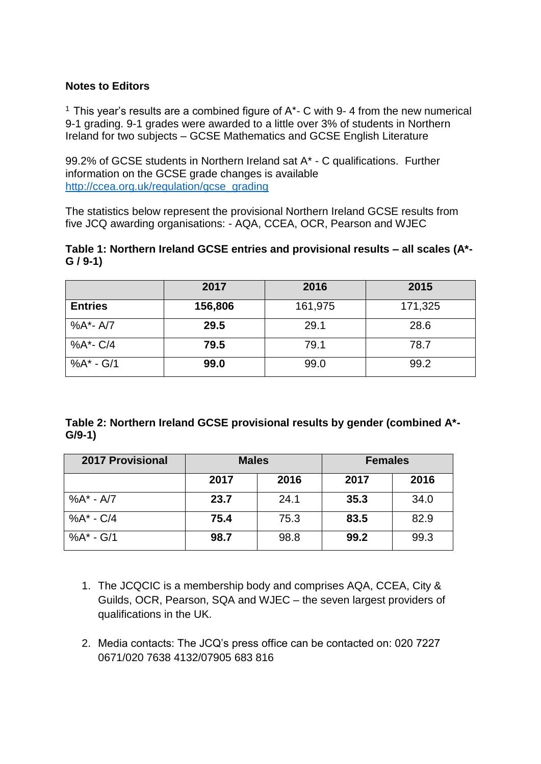#### **Notes to Editors**

<sup>1</sup> This year's results are a combined figure of  $A^*$ - C with 9-4 from the new numerical 9-1 grading. 9-1 grades were awarded to a little over 3% of students in Northern Ireland for two subjects – GCSE Mathematics and GCSE English Literature

99.2% of GCSE students in Northern Ireland sat A\* - C qualifications. Further information on the GCSE grade changes is available [http://ccea.org.uk/regulation/gcse\\_grading](http://ccea.org.uk/regulation/gcse_grading)

The statistics below represent the provisional Northern Ireland GCSE results from five JCQ awarding organisations: - AQA, CCEA, OCR, Pearson and WJEC

#### **Table 1: Northern Ireland GCSE entries and provisional results – all scales (A\*- G / 9-1)**

|                | 2017    | 2016    | 2015    |
|----------------|---------|---------|---------|
| <b>Entries</b> | 156,806 | 161,975 | 171,325 |
| %A*-A/7        | 29.5    | 29.1    | 28.6    |
| %A*- C/4       | 79.5    | 79.1    | 78.7    |
| %A* - G/1      | 99.0    | 99.0    | 99.2    |

**Table 2: Northern Ireland GCSE provisional results by gender (combined A\*- G/9-1)**

| <b>2017 Provisional</b> | <b>Males</b> |      | <b>Females</b> |      |
|-------------------------|--------------|------|----------------|------|
|                         | 2017         | 2016 | 2017           | 2016 |
| $%A^* - A/7$            | 23.7         | 24.1 | 35.3           | 34.0 |
| $%A^* - C/4$            | 75.4         | 75.3 | 83.5           | 82.9 |
| %A* - G/1               | 98.7         | 98.8 | 99.2           | 99.3 |

- 1. The JCQCIC is a membership body and comprises AQA, CCEA, City & Guilds, OCR, Pearson, SQA and WJEC – the seven largest providers of qualifications in the UK.
- 2. Media contacts: The JCQ's press office can be contacted on: 020 7227 0671/020 7638 4132/07905 683 816